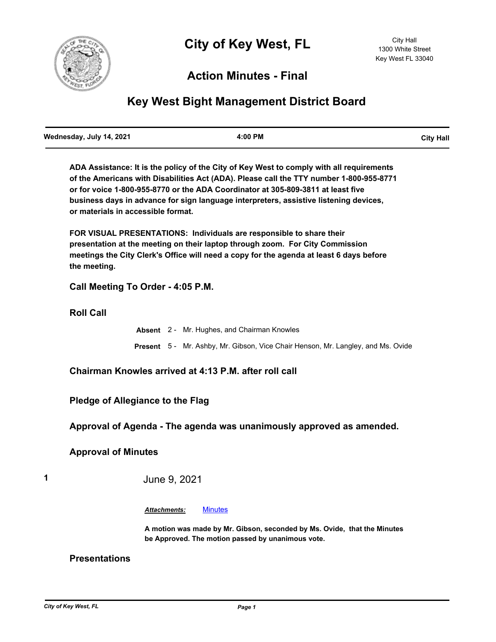

# **Action Minutes - Final**

# **Key West Bight Management District Board**

**ADA Assistance: It is the policy of the City of Key West to comply with all requirements of the Americans with Disabilities Act (ADA). Please call the TTY number 1-800-955-8771 or for voice 1-800-955-8770 or the ADA Coordinator at 305-809-3811 at least five business days in advance for sign language interpreters, assistive listening devices, or materials in accessible format.**

**FOR VISUAL PRESENTATIONS: Individuals are responsible to share their presentation at the meeting on their laptop through zoom. For City Commission meetings the City Clerk's Office will need a copy for the agenda at least 6 days before the meeting.**

**Call Meeting To Order - 4:05 P.M.**

**Roll Call**

**Absent** 2 - Mr. Hughes, and Chairman Knowles **Present** 5 - Mr. Ashby, Mr. Gibson, Vice Chair Henson, Mr. Langley, and Ms. Ovide

**Chairman Knowles arrived at 4:13 P.M. after roll call**

**Pledge of Allegiance to the Flag**

**Approval of Agenda - The agenda was unanimously approved as amended.**

## **Approval of Minutes**

**1** June 9, 2021

*Attachments:* [Minutes](http://KeyWest.legistar.com/gateway.aspx?M=F&ID=15712db6-9bcb-4b61-96e2-b1edb2d6b717.pdf)

**A motion was made by Mr. Gibson, seconded by Ms. Ovide, that the Minutes be Approved. The motion passed by unanimous vote.**

#### **Presentations**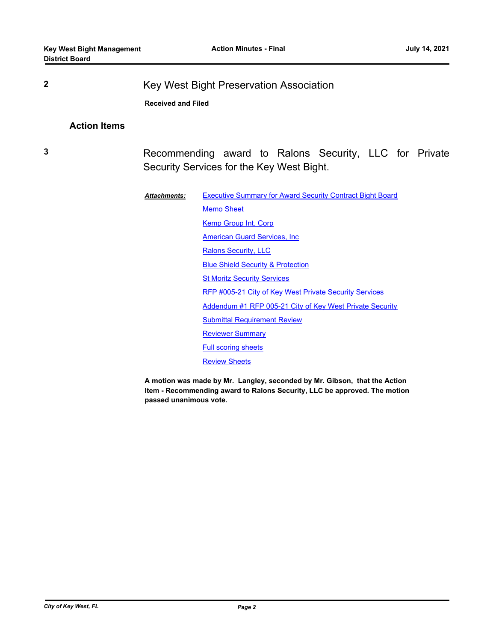**2** Key West Bight Preservation Association

**Received and Filed**

# **Action Items**

**3** Recommending award to Ralons Security, LLC for Private Security Services for the Key West Bight.

| <b>Attachments:</b> | <b>Executive Summary for Award Security Contract Bight Board</b> |
|---------------------|------------------------------------------------------------------|
|                     | <b>Memo Sheet</b>                                                |
|                     | Kemp Group Int. Corp                                             |
|                     | American Guard Services, Inc.                                    |
|                     | <b>Ralons Security, LLC</b>                                      |
|                     | <b>Blue Shield Security &amp; Protection</b>                     |
|                     | <b>St Moritz Security Services</b>                               |
|                     | RFP #005-21 City of Key West Private Security Services           |
|                     | Addendum #1 RFP 005-21 City of Key West Private Security         |
|                     | <b>Submittal Requirement Review</b>                              |
|                     | <b>Reviewer Summary</b>                                          |
|                     | <b>Full scoring sheets</b>                                       |
|                     | <b>Review Sheets</b>                                             |

**A motion was made by Mr. Langley, seconded by Mr. Gibson, that the Action Item - Recommending award to Ralons Security, LLC be approved. The motion passed unanimous vote.**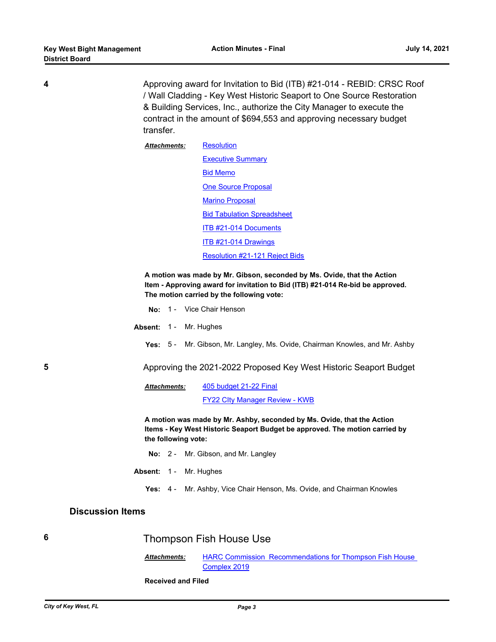**4** Approving award for Invitation to Bid (ITB) #21-014 - REBID: CRSC Roof / Wall Cladding - Key West Historic Seaport to One Source Restoration & Building Services, Inc., authorize the City Manager to execute the contract in the amount of \$694,553 and approving necessary budget transfer.

> **[Resolution](http://KeyWest.legistar.com/gateway.aspx?M=F&ID=43ef321b-e457-44b4-a022-b19ec9e08deb.pdf) [Executive Summary](http://KeyWest.legistar.com/gateway.aspx?M=F&ID=7e541d25-1e80-4c02-b9f1-66ec268afbf4.pdf)** [Bid Memo](http://KeyWest.legistar.com/gateway.aspx?M=F&ID=a700bd30-9ed8-4092-95fa-eb682fd077c3.pdf) [One Source Proposal](http://KeyWest.legistar.com/gateway.aspx?M=F&ID=eb8fc530-e13d-4b04-bc4a-a7baf483c331.pdf) [Marino Proposal](http://KeyWest.legistar.com/gateway.aspx?M=F&ID=7ef8540c-5924-438b-b26a-2a3d1a8800bb.pdf) **[Bid Tabulation Spreadsheet](http://KeyWest.legistar.com/gateway.aspx?M=F&ID=741f3997-6498-4554-ac3e-fb3622abd2c9.pdf)** [ITB #21-014 Documents](http://KeyWest.legistar.com/gateway.aspx?M=F&ID=b5235d24-cd18-4ead-9a2c-858a4d817eab.pdf) [ITB #21-014 Drawings](http://KeyWest.legistar.com/gateway.aspx?M=F&ID=fbd0f98f-c124-47da-956a-257043a9e0bf.pdf) [Resolution #21-121 Reject Bids](http://KeyWest.legistar.com/gateway.aspx?M=F&ID=4fa45e69-1b4c-498e-a200-5c2356a155f4.pdf) *Attachments:*

**A motion was made by Mr. Gibson, seconded by Ms. Ovide, that the Action Item - Approving award for invitation to Bid (ITB) #21-014 Re-bid be approved. The motion carried by the following vote:**

- **No:** 1 Vice Chair Henson
- Absent: 1 Mr. Hughes
	- **Yes:** 5 Mr. Gibson, Mr. Langley, Ms. Ovide, Chairman Knowles, and Mr. Ashby
- **5** Approving the 2021-2022 Proposed Key West Historic Seaport Budget

[405 budget 21-22 Final](http://KeyWest.legistar.com/gateway.aspx?M=F&ID=a31be193-62e9-445c-9b6a-9a59c3cb96c2.pdf) [FY22 CIty Manager Review - KWB](http://KeyWest.legistar.com/gateway.aspx?M=F&ID=b976dffe-88da-42ae-ac19-c02e56c3d2af.pdf) *Attachments:*

**A motion was made by Mr. Ashby, seconded by Ms. Ovide, that the Action Items - Key West Historic Seaport Budget be approved. The motion carried by the following vote:**

- **No:** 2 Mr. Gibson, and Mr. Langley
- Absent: 1 Mr. Hughes
	- **Yes:** 4 Mr. Ashby, Vice Chair Henson, Ms. Ovide, and Chairman Knowles

#### **Discussion Items**

### **6** Thompson Fish House Use

**HARC Commission Recommendations for Thompson Fish House** Complex 2019 *Attachments:*

**Received and Filed**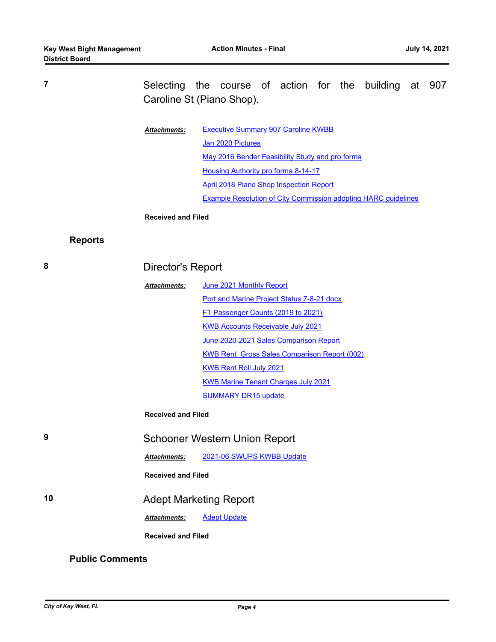**7** Selecting the course of action for the building at 907 Caroline St (Piano Shop).

| <b>Attachments:</b>                 | <b>Executive Summary 907 Caroline KWBB</b>                            |  |  |
|-------------------------------------|-----------------------------------------------------------------------|--|--|
|                                     | Jan 2020 Pictures                                                     |  |  |
|                                     | May 2016 Bender Feasibility Study and pro forma                       |  |  |
| Housing Authority pro forma 8-14-17 |                                                                       |  |  |
|                                     | April 2018 Piano Shop Inspection Report                               |  |  |
|                                     | <b>Example Resolution of City Commission adopting HARC quidelines</b> |  |  |

#### **Received and Filed**

# **Reports**

| 8                      | Director's Report                    |                                                     |  |
|------------------------|--------------------------------------|-----------------------------------------------------|--|
|                        | <b>Attachments:</b>                  | June 2021 Monthly Report                            |  |
|                        |                                      | <b>Port and Marine Project Status 7-8-21 docx</b>   |  |
|                        |                                      | FT Passenger Counts (2019 to 2021)                  |  |
|                        |                                      | <b>KWB Accounts Receivable July 2021</b>            |  |
|                        |                                      | June 2020-2021 Sales Comparison Report              |  |
|                        |                                      | <b>KWB Rent Gross Sales Comparison Report (002)</b> |  |
|                        |                                      | <b>KWB Rent Roll July 2021</b>                      |  |
|                        |                                      | <b>KWB Marine Tenant Charges July 2021</b>          |  |
|                        |                                      | <b>SUMMARY DR15 update</b>                          |  |
|                        | <b>Received and Filed</b>            |                                                     |  |
| 9                      | <b>Schooner Western Union Report</b> |                                                     |  |
|                        | <b>Attachments:</b>                  | 2021-06 SWUPS KWBB Update                           |  |
|                        | <b>Received and Filed</b>            |                                                     |  |
| 10                     |                                      | <b>Adept Marketing Report</b>                       |  |
|                        | <b>Attachments:</b>                  | <b>Adept Update</b>                                 |  |
|                        | <b>Received and Filed</b>            |                                                     |  |
| <b>Public Comments</b> |                                      |                                                     |  |